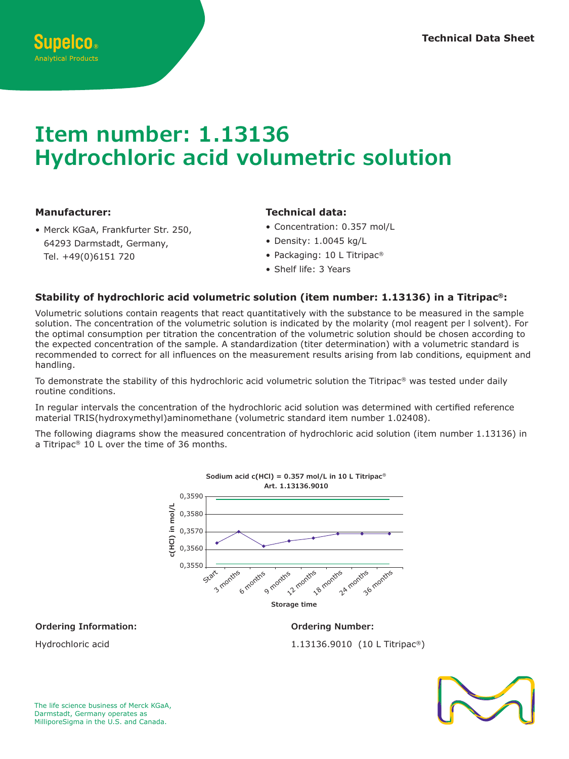# **Item number: 1.13136 Hydrochloric acid volumetric solution** 1<br>Tham numharu 1 12126 **Storage time** 12 months

## **Manufacturer:**

• Merck KGaA, Frankfurter Str. 250, 64293 Darmstadt, Germany, Tel. +49(0)6151 720<br>}  $\frac{1}{2}$ tr.<br>Y,

**c(NaOH) in mol/L**

0,334 0,333

## **Technical data:**

**Sodium hydroxide c(NaOH) = 0.33 mol/L in 10 L Titripac®**

- Concentration: 0.357 mol/L
- Density: 1.0045 kg/L
- Packaging: 10 L Titripac® npac
- Fackaging: 10 L months

# Stability of hydrochloric acid volumetric solution (item number: 1.13136) in a Titripac<sup>®</sup>:

Volumetric solutions contain reagents that react quantitatively with the substance to be measured in the sample solution. The concentration of the volumetric solution is indicated by the molarity (mol reagent per I solvent). For the optimal consumption per titration the concentration of the volumetric solution should be chosen according to the expected concentration of the sample. A standardization (titer determination) with a volumetric standard is recommended to correct for all influences on the measurement results arising from lab conditions, equipment and handling. c<br>b<br>O<br>O

To demonstrate the stability of this hydrochloric acid volumetric solution the Titripac® was tested under daily routine conditions.

In regular intervals the concentration of the hydrochloric acid solution was determined with certified reference<br>material TRIS(bydroxymothyl)aminemethane (volumetric standard item number 1,02408) In regular intervals the concentration of the hydrochloric acid solution was determined with<br>1.02408). material TRIS(hydroxymethyl)aminomethane (volumetric standard item number 1.02408).

The following diagrams show the measured concentration of hydrochloric acid solution (item number 1.13136) in<br>a Titrings® 10 Laurenthe time of 26 meaths a Titripac® 10 L over the time of 36 months. **Storage time**



**Ordering Information:**

1.13136.9010 (10 L Titripac®)

**Ordering Number:**



Hydrochloric acid